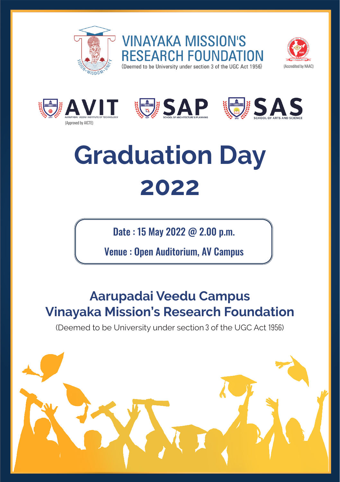

(Approved by AICTE)



**VINAYAKA MISSION'S FSFARCH FOUNDAT** (Deemed to be University under section 3 of the UGC Act 1956)



(Accredited by NAAC)

# **Graduation Day 2022**

Date : 15 May 2022 @ 2.00 p.m.

Venue : Open Auditorium, AV Campus

### **Aarupadai Veedu Campus Vinayaka Mission's Research Foundation**

(Deemed to be University under section 3 of the UGC Act 1956)

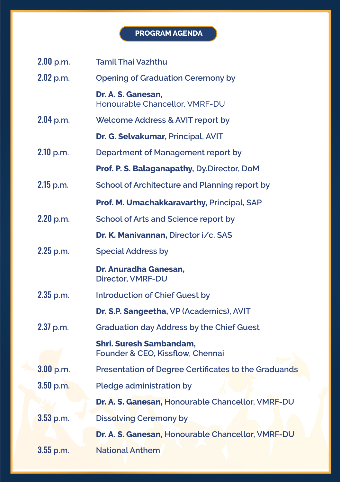#### **PROGRAM AGENDA**

| $2.00$ p.m. | <b>Tamil Thai Vazhthu</b>                                          |
|-------------|--------------------------------------------------------------------|
| $2.02$ p.m. | <b>Opening of Graduation Ceremony by</b>                           |
|             | Dr. A. S. Ganesan.<br>Honourable Chancellor, VMRF-DU               |
| $2.04$ p.m. | Welcome Address & AVIT report by                                   |
|             | Dr. G. Selvakumar, Principal, AVIT                                 |
| $2.10$ p.m. | Department of Management report by                                 |
|             | Prof. P. S. Balaganapathy, Dy.Director, DoM                        |
| 2.15 p.m.   | School of Architecture and Planning report by                      |
|             | Prof. M. Umachakkaravarthy, Principal, SAP                         |
| 2.20 p.m.   | School of Arts and Science report by                               |
|             | Dr. K. Manivannan, Director i/c, SAS                               |
| $2.25$ p.m. | <b>Special Address by</b>                                          |
|             | Dr. Anuradha Ganesan,<br>Director, VMRF-DU                         |
| $2.35$ p.m. | <b>Introduction of Chief Guest by</b>                              |
|             | Dr. S.P. Sangeetha, VP (Academics), AVIT                           |
| $2.37$ p.m. | <b>Graduation day Address by the Chief Guest</b>                   |
|             | <b>Shri. Suresh Sambandam,</b><br>Founder & CEO, Kissflow, Chennai |
| $3.00$ p.m. | Presentation of Degree Certificates to the Graduands               |
| $3.50$ p.m. | Pledge administration by                                           |
|             | Dr. A. S. Ganesan, Honourable Chancellor, VMRF-DU                  |
| $3.53$ p.m. | <b>Dissolving Ceremony by</b>                                      |
|             | Dr. A. S. Ganesan, Honourable Chancellor, VMRF-DU                  |
| $3.55$ p.m. | <b>National Anthem</b>                                             |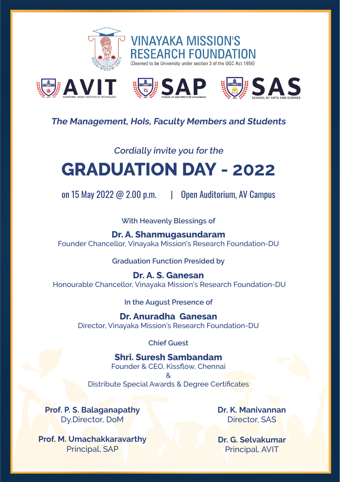



#### **The Management, HoIs, Faculty Members and Students**

#### **Cordially invite you for the**

## **GRADUATION DAY - 2022**

on 15 May 2022 @ 2.00 p.m. | Open Auditorium, AV Campus

**With Heavenly Blessings of**

**Dr. A. Shanmugasundaram**

Founder Chancellor, Vinayaka Mission's Research Foundation-DU

**Graduation Function Presided by**

**Dr. A. S. Ganesan** Honourable Chancellor, Vinayaka Mission's Research Foundation-DU

**In the August Presence of**

**Dr. Anuradha Ganesan** Director, Vinayaka Mission's Research Foundation-DU

**Chief Guest**

**Shri. Suresh Sambandam** Founder & CEO, Kissflow, Chennai & Distribute Special Awards & Degree Certificates

**Prof. P. S. Balaganapathy** Dy.Director, DoM

**Prof. M. Umachakkaravarthy** Principal, SAP

**Dr. K. Manivannan** Director, SAS

**Dr. G. Selvakumar** Principal, AVIT